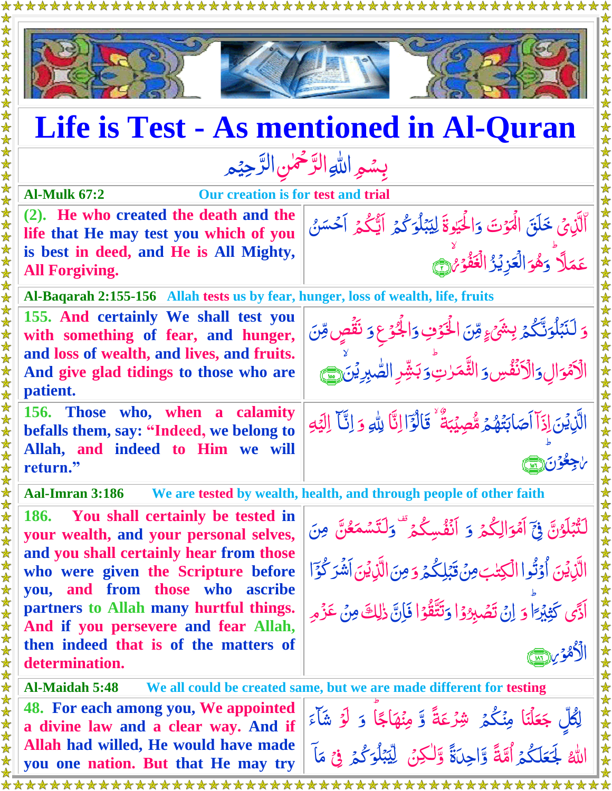

\*\*\*\*\*\*\*\*\*\*\*\*\*\*\*\*\*\*\*\*\*